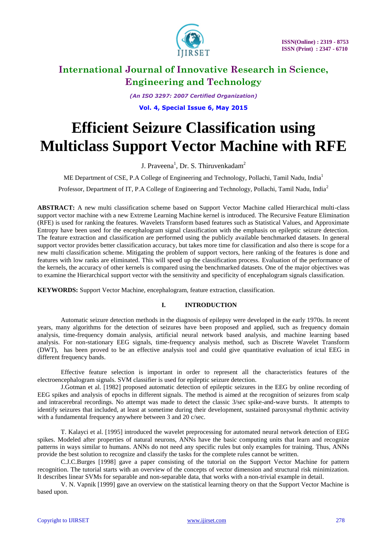

*(An ISO 3297: 2007 Certified Organization)*

**Vol. 4, Special Issue 6, May 2015**

# **Efficient Seizure Classification using Multiclass Support Vector Machine with RFE**

J. Praveena<sup>1</sup>, Dr. S. Thiruvenkadam<sup>2</sup>

ME Department of CSE, P.A College of Engineering and Technology, Pollachi, Tamil Nadu, India<sup>1</sup>

Professor, Department of IT, P.A College of Engineering and Technology, Pollachi, Tamil Nadu, India<sup>2</sup>

**ABSTRACT:** A new multi classification scheme based on Support Vector Machine called Hierarchical multi-class support vector machine with a new Extreme Learning Machine kernel is introduced. The Recursive Feature Elimination (RFE) is used for ranking the features. Wavelets Transform based features such as Statistical Values, and Approximate Entropy have been used for the encephalogram signal classification with the emphasis on epileptic seizure detection. The feature extraction and classification are performed using the publicly available benchmarked datasets. In general support vector provides better classification accuracy, but takes more time for classification and also there is scope for a new multi classification scheme. Mitigating the problem of support vectors, here ranking of the features is done and features with low ranks are eliminated. This will speed up the classification process. Evaluation of the performance of the kernels, the accuracy of other kernels is compared using the benchmarked datasets. One of the major objectives was to examine the Hierarchical support vector with the sensitivity and specificity of encephalogram signals classification.

**KEYWORDS:** Support Vector Machine, encephalogram, feature extraction, classification.

## **I. INTRODUCTION**

Automatic seizure detection methods in the diagnosis of epilepsy were developed in the early 1970s. In recent years, many algorithms for the detection of seizures have been proposed and applied, such as frequency domain analysis, time-frequency domain analysis, artificial neural network based analysis, and machine learning based analysis. For non-stationary EEG signals, time-frequency analysis method, such as Discrete Wavelet Transform (DWT), has been proved to be an effective analysis tool and could give quantitative evaluation of ictal EEG in different frequency bands.

Effective feature selection is important in order to represent all the characteristics features of the electroencephalogram signals. SVM classifier is used for epileptic seizure detection.

J.Gotman et al. [1982] proposed automatic detection of epileptic seizures in the EEG by online recording of EEG spikes and analysis of epochs in different signals. The method is aimed at the recognition of seizures from scalp and intracerebral recordings. No attempt was made to detect the classic 3/sec spike-and-wave bursts. It attempts to identify seizures that included, at least at sometime during their development, sustained paroxysmal rhythmic activity with a fundamental frequency anywhere between 3 and 20 c/sec.

T. Kalayci et al. [1995] introduced the wavelet preprocessing for automated neural network detection of EEG spikes. Modeled after properties of natural neurons, ANNs have the basic computing units that learn and recognize patterns in ways similar to humans. ANNs do not need any specific rules but only examples for training. Thus, ANNs provide the best solution to recognize and classify the tasks for the complete rules cannot be written.

C.J.C.Burges [1998] gave a paper consisting of the tutorial on the Support Vector Machine for pattern recognition. The tutorial starts with an overview of the concepts of vector dimension and structural risk minimization. It describes linear SVMs for separable and non-separable data, that works with a non-trivial example in detail.

V. N. Vapnik [1999] gave an overview on the statistical learning theory on that the Support Vector Machine is based upon.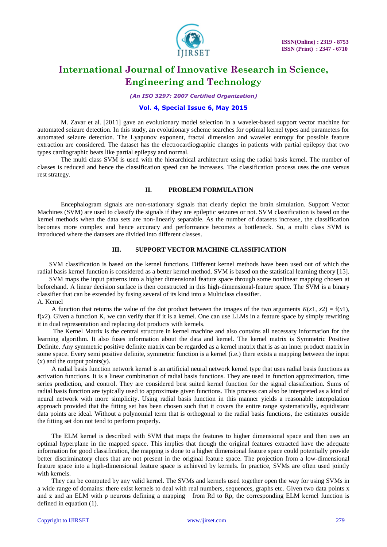

*(An ISO 3297: 2007 Certified Organization)*

### **Vol. 4, Special Issue 6, May 2015**

M. Zavar et al. [2011] gave an evolutionary model selection in a wavelet-based support vector machine for automated seizure detection. In this study, an evolutionary scheme searches for optimal kernel types and parameters for automated seizure detection. The Lyapunov exponent, fractal dimension and wavelet entropy for possible feature extraction are considered. The dataset has the electrocardiographic changes in patients with partial epilepsy that two types cardiographic beats like partial epilepsy and normal.

The multi class SVM is used with the hierarchical architecture using the radial basis kernel. The number of classes is reduced and hence the classification speed can be increases. The classification process uses the one versus rest strategy.

#### **II. PROBLEM FORMULATION**

Encephalogram signals are non-stationary signals that clearly depict the brain simulation. Support Vector Machines (SVM) are used to classify the signals if they are epileptic seizures or not. SVM classification is based on the kernel methods when the data sets are non-linearly separable. As the number of datasets increase, the classification becomes more complex and hence accuracy and performance becomes a bottleneck. So, a multi class SVM is introduced where the datasets are divided into different classes.

### **III. SUPPORT VECTOR MACHINE CLASSIFICATION**

SVM classification is based on the kernel functions. Different kernel methods have been used out of which the radial basis kernel function is considered as a better kernel method. SVM is based on the statistical learning theory [15].

SVM maps the input patterns into a higher dimensional feature space through some nonlinear mapping chosen at beforehand. A linear decision surface is then constructed in this high-dimensional-feature space. The SVM is a binary classifier that can be extended by fusing several of its kind into a Multiclass classifier. A. Kernel

A function that returns the value of the dot product between the images of the two arguments  $K(x1, x2) = f(x1)$ , f(*x*2). Given a function K, we can verify that if it is a kernel. One can use LLMs in a feature space by simply rewriting it in dual representation and replacing dot products with kernels.

The Kernel Matrix is the central structure in kernel machine and also contains all necessary information for the learning algorithm. It also fuses information about the data and kernel. The kernel matrix is Symmetric Positive Definite. Any symmetric positive definite matrix can be regarded as a kernel matrix that is as an inner product matrix in some space. Every semi positive definite, symmetric function is a kernel (i.e.) there exists a mapping between the input  $(x)$  and the output points $(y)$ .

A radial basis function network kernel is an artificial neural network kernel type that uses radial basis functions as activation functions. It is a linear combination of radial basis functions. They are used in function approximation, time series prediction, and control. They are considered best suited kernel function for the signal classification. Sums of radial basis function are typically used to approximate given functions. This process can also be interpreted as a kind of neural network with more simplicity. Using radial basis function in this manner yields a reasonable interpolation approach provided that the fitting set has been chosen such that it covers the entire range systematically, equidistant data points are ideal. Without a polynomial term that is orthogonal to the radial basis functions, the estimates outside the fitting set don not tend to perform properly.

The ELM kernel is described with SVM that maps the features to higher dimensional space and then uses an optimal hyperplane in the mapped space. This implies that though the original features extracted have the adequate information for good classification, the mapping is done to a higher dimensional feature space could potentially provide better discriminatory clues that are not present in the original feature space. The projection from a low-dimensional feature space into a high-dimensional feature space is achieved by kernels. In practice, SVMs are often used jointly with kernels.

They can be computed by any valid kernel. The SVMs and kernels used together open the way for using SVMs in a wide range of domains: there exist kernels to deal with real numbers, sequences, graphs etc. Given two data points x and z and an ELM with p neurons defining a mapping from Rd to Rp, the corresponding ELM kernel function is defined in equation (1).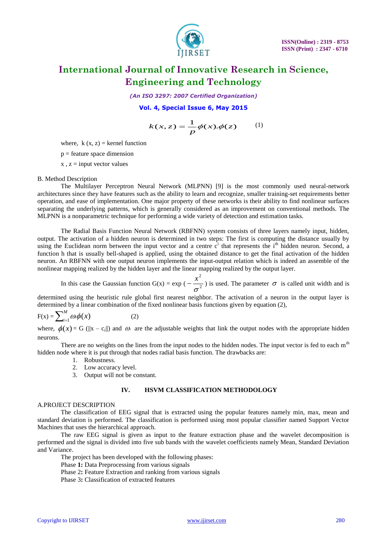

*(An ISO 3297: 2007 Certified Organization)*

### **Vol. 4, Special Issue 6, May 2015**

$$
k(x, z) = \frac{1}{p}\phi(x).\phi(z) \qquad (1)
$$

where,  $k(x, z) = k$ ernel function

 $p =$  feature space dimension

 $x, z = input vector values$ 

#### B. Method Description

The Multilayer Perceptron Neural Network (MLPNN) [9] is the most commonly used neural-network architectures since they have features such as the ability to learn and recognize, smaller training-set requirements better operation, and ease of implementation. One major property of these networks is their ability to find nonlinear surfaces separating the underlying patterns, which is generally considered as an improvement on conventional methods. The MLPNN is a nonparametric technique for performing a wide variety of detection and estimation tasks.

**EXACTER AND THE VALUE CONDUCT (1)**  $\frac{1}{L} \phi(A, x) \phi(x)$  (1) where  $x, z = \text{input vector value}$ ,  $x, z = \text{input vector value}$  and  $x, z = \text{input vector value}$  where the means of the second count of the second control in the second control in the second control in the The Radial Basis Function Neural Network (RBFNN) system consists of three layers namely input, hidden, output. The activation of a hidden neuron is determined in two steps: The first is computing the distance usually by using the Euclidean norm between the input vector and a centre  $c<sup>i</sup>$  that represents the i<sup>th</sup> hidden neuron. Second, a function h that is usually bell-shaped is applied, using the obtained distance to get the final activation of the hidden neuron. An RBFNN with one output neuron implements the input-output relation which is indeed an assemble of the nonlinear mapping realized by the hidden layer and the linear mapping realized by the output layer.

In this case the Gaussian function  $G(x) = \exp(-\frac{1}{x^2})$ 2  $\sigma$  $-\frac{x^2}{2}$ ) is used. The parameter  $\sigma$  is called unit width and is

determined using the heuristic rule global first nearest neighbor. The activation of a neuron in the output layer is determined by a linear combination of the fixed nonlinear basis functions given by equation (2),

$$
F(x) = \sum_{i=1}^{M} \omega \phi(x)
$$
 (2)

where,  $\phi(x) = G(||x - c_i||)$  and  $\omega_i$  are the adjustable weights that link the output nodes with the appropriate hidden neurons.

There are no weights on the lines from the input nodes to the hidden nodes. The input vector is fed to each m<sup>th</sup> hidden node where it is put through that nodes radial basis function. The drawbacks are:

- 1. Robustness.
- 2. Low accuracy level.
- 3. Output will not be constant.

#### **IV. HSVM CLASSIFICATION METHODOLOGY**

#### A.PROJECT DESCRIPTION

The classification of EEG signal that is extracted using the popular features namely min, max, mean and standard deviation is performed. The classification is performed using most popular classifier named Support Vector Machines that uses the hierarchical approach.

The raw EEG signal is given as input to the feature extraction phase and the wavelet decomposition is performed and the signal is divided into five sub bands with the wavelet coefficients namely Mean, Standard Deviation and Variance.

The project has been developed with the following phases:

- Phase **1:** Data Preprocessing from various signals
- Phase 2**:** Feature Extraction and ranking from various signals

Phase 3**:** Classification of extracted features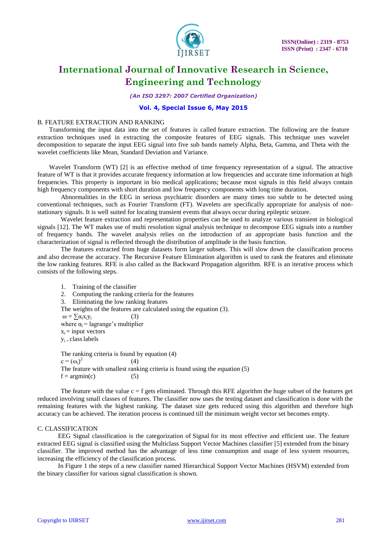

*(An ISO 3297: 2007 Certified Organization)*

### **Vol. 4, Special Issue 6, May 2015**

#### B. FEATURE EXTRACTION AND RANKING

Transforming the input data into the set of features is called feature extraction. The following are the feature extraction techniques used in extracting the composite features of EEG signals. This technique uses wavelet decomposition to separate the input EEG signal into five sub bands namely Alpha, Beta, Gamma, and Theta with the wavelet coefficients like Mean, Standard Deviation and Variance.

Wavelet Transform (WT) [2] is an effective method of time frequency representation of a signal. The attractive feature of WT is that it provides accurate frequency information at low frequencies and accurate time information at high frequencies. This property is important in bio medical applications; because most signals in this field always contain high frequency components with short duration and low frequency components with long time duration.

Abnormalities in the EEG in serious psychiatric disorders are many times too subtle to be detected using conventional techniques, such as Fourier Transform (FT). Wavelets are specifically appropriate for analysis of nonstationary signals. It is well suited for locating transient events that always occur during epileptic seizure.

Wavelet feature extraction and representation properties can be used to analyze various transient in biological signals [12]. The WT makes use of multi resolution signal analysis technique to decompose EEG signals into a number of frequency bands. The wavelet analysis relies on the introduction of an appropriate basis function and the characterization of signal is reflected through the distribution of amplitude in the basis function.

The features extracted from huge datasets form larger subsets. This will slow down the classification process and also decrease the accuracy. The Recursive Feature Elimination algorithm is used to rank the features and eliminate the low ranking features. RFE is also called as the Backward Propagation algorithm. RFE is an iterative process which consists of the following steps.

1. Training of the classifier 2. Computing the ranking criteria for the features 3. Eliminating the low ranking features The weights of the features are calculated using the equation (3).  $\omega = \sum \alpha_i x_i y_i$  (3) where  $\alpha_i$  = lagrange's multiplier  $x_i$  = input vectors  $v_i$  – class labels The ranking criteria is found by equation (4)  $c = (\omega_i)^2$  $(4)$ The feature with smallest ranking criteria is found using the equation (5)

The feature with the value  $c = f$  gets eliminated. Through this RFE algorithm the huge subset of the features get reduced involving small classes of features. The classifier now uses the testing dataset and classification is done with the remaining features with the highest ranking. The dataset size gets reduced using this algorithm and therefore high accuracy can be achieved. The iteration process is continued till the minimum weight vector set becomes empty.

#### C. CLASSIFICATION

 $f = argmin(c)$  (5)

EEG Signal classification is the categorization of Signal for its most effective and efficient use. The feature extracted EEG signal is classified using the Multiclass Support Vector Machines classifier [5] extended from the binary classifier. The improved method has the advantage of less time consumption and usage of less system resources, increasing the efficiency of the classification process.

In Figure 1 the steps of a new classifier named Hierarchical Support Vector Machines (HSVM) extended from the binary classifier for various signal classification is shown.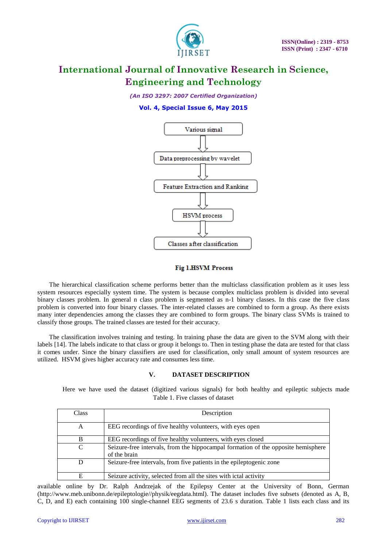

*(An ISO 3297: 2007 Certified Organization)*

# **Vol. 4, Special Issue 6, May 2015**



### **Fig 1.HSVM Process**

The hierarchical classification scheme performs better than the multiclass classification problem as it uses less system resources especially system time. The system is because complex multiclass problem is divided into several binary classes problem. In general n class problem is segmented as n-1 binary classes. In this case the five class problem is converted into four binary classes. The inter-related classes are combined to form a group. As there exists many inter dependencies among the classes they are combined to form groups. The binary class SVMs is trained to classify those groups. The trained classes are tested for their accuracy.

The classification involves training and testing. In training phase the data are given to the SVM along with their labels [14]. The labels indicate to that class or group it belongs to. Then in testing phase the data are tested for that class it comes under. Since the binary classifiers are used for classification, only small amount of system resources are utilized. HSVM gives higher accuracy rate and consumes less time.

### **V. DATASET DESCRIPTION**

Here we have used the dataset (digitized various signals) for both healthy and epileptic subjects made Table 1. Five classes of dataset

| Class | Description                                                                                       |
|-------|---------------------------------------------------------------------------------------------------|
| А     | EEG recordings of five healthy volunteers, with eyes open                                         |
| B     | EEG recordings of five healthy volunteers, with eyes closed                                       |
| C     | Seizure-free intervals, from the hippocampal formation of the opposite hemisphere<br>of the brain |
| D     | Seizure-free intervals, from five patients in the epileptogenic zone                              |
| E     | Seizure activity, selected from all the sites with ictal activity                                 |

available online by Dr. Ralph Andrzejak of the Epilepsy Center at the University of Bonn, German (http://www.meb.unibonn.de/epileptologie//physik/eegdata.html). The dataset includes five subsets (denoted as A, B, C, D, and E) each containing 100 single-channel EEG segments of 23.6 s duration. Table 1 lists each class and its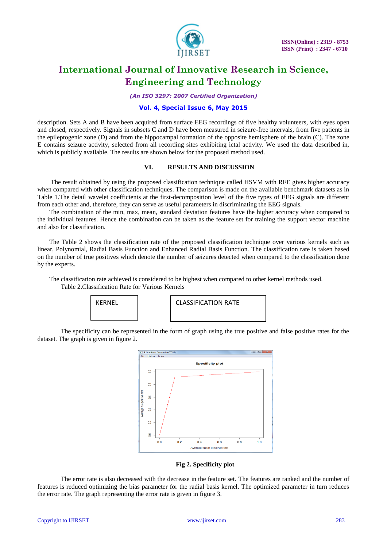

*(An ISO 3297: 2007 Certified Organization)*

### **Vol. 4, Special Issue 6, May 2015**

description. Sets A and B have been acquired from surface EEG recordings of five healthy volunteers, with eyes open and closed, respectively. Signals in subsets C and D have been measured in seizure-free intervals, from five patients in the epileptogenic zone (D) and from the hippocampal formation of the opposite hemisphere of the brain (C). The zone E contains seizure activity, selected from all recording sites exhibiting ictal activity. We used the data described in, which is publicly available. The results are shown below for the proposed method used.

#### **VI. RESULTS AND DISCUSSION**

The result obtained by using the proposed classification technique called HSVM with RFE gives higher accuracy when compared with other classification techniques. The comparison is made on the available benchmark datasets as in Table 1.The detail wavelet coefficients at the first-decomposition level of the five types of EEG signals are different from each other and, therefore, they can serve as useful parameters in discriminating the EEG signals.

The combination of the min, max, mean, standard deviation features have the higher accuracy when compared to the individual features. Hence the combination can be taken as the feature set for training the support vector machine and also for classification.

The Table 2 shows the classification rate of the proposed classification technique over various kernels such as linear, Polynomial, Radial Basis Function and Enhanced Radial Basis Function. The classification rate is taken based on the number of true positives which denote the number of seizures detected when compared to the classification done by the experts.

The classification rate achieved is considered to be highest when compared to other kernel methods used. Table 2.Classification Rate for Various Kernels



KERNEL | | | | CLASSIFICATION RATE

The specificity can be represented in the form of graph using the true positive and false positive rates for the dataset. The graph is given in figure 2.



**Fig 2. Specificity plot**

The error rate is also decreased with the decrease in the feature set. The features are ranked and the number of features is reduced optimizing the bias parameter for the radial basis kernel. The optimized parameter in turn reduces the error rate. The graph representing the error rate is given in figure 3.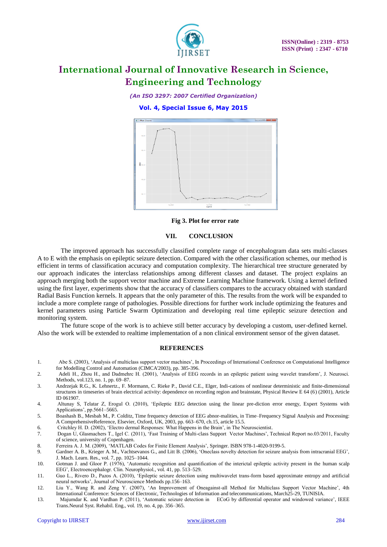

*(An ISO 3297: 2007 Certified Organization)*

**Vol. 4, Special Issue 6, May 2015**



**Fig 3. Plot for error rate**

#### **VII. CONCLUSION**

The improved approach has successfully classified complete range of encephalogram data sets multi-classes A to E with the emphasis on epileptic seizure detection. Compared with the other classification schemes, our method is efficient in terms of classification accuracy and computation complexity. The hierarchical tree structure generated by our approach indicates the interclass relationships among different classes and dataset. The project explains an approach merging both the support vector machine and Extreme Learning Machine framework. Using a kernel defined using the first layer, experiments show that the accuracy of classifiers compares to the accuracy obtained with standard Radial Basis Function kernels. It appears that the only parameter of this. The results from the work will be expanded to include a more complete range of pathologies. Possible directions for further work include optimizing the features and kernel parameters using Particle Swarm Optimization and developing real time epileptic seizure detection and monitoring system.

The future scope of the work is to achieve still better accuracy by developing a custom, user-defined kernel. Also the work will be extended to realtime implementation of a non clinical environment sensor of the given dataset.

#### **REFERENCES**

- 1. Abe S. (2003), 'Analysis of multiclass support vector machines', In Proceedings of International Conference on Computational Intelligence for Modelling Control and Automation (CIMCA'2003), pp. 385-396.
- 2. Adeli H., Zhou H., and Dadmehrc H. (2001), 'Analysis of EEG records in an epileptic patient using wavelet transform', J. Neurosci. Methods, vol.123, no. 1, pp. 69–87.
- 3. Andrzejak R.G., K. Lehnertz., F. Mormann, C. Rieke P., David C.E., Elger, Indi-cations of nonlinear deterministic and finite-dimensional structures in timeseries of brain electrical activity: dependence on recording region and brainstate, Physical Review E 64 (6) (2001), Article ID 061907.
- 4. Altunay S, Telatar Z, Erogul O. (2010), 'Epileptic EEG detection using the linear pre-diction error energy, Expert Systems with Applications', pp.5661–5665.
- 5. Boashash B., Mesbah M., P. Colditz, Time frequency detection of EEG abnor-malities, in Time–Frequency Signal Analysis and Processing: A ComprehensiveReference, Elsevier, Oxford, UK, 2003, pp. 663–670, ch.15, article 15.5.
- 6. Critchley H. D. (2002), 'Electro dermal Responses: What Happens in the Brain', in The Neuroscientist.
- 7. Dogan U, Glasmachers T., Igel C. (2011), 'Fast Training of Multi-class Support Vector Machines', Technical Report no.03/2011, Faculty of science, university of Copenhagen.
- 8. Ferreira A. J. M. (2009), 'MATLAB Codes for Finite Element Analysis', Springer. ISBN 978-1-4020-9199-5.
- 9. Gardner A. B., Krieger A. M., Vachtsevanos G., and Litt B. (2006), 'Oneclass novelty detection for seizure analysis from intracranial EEG', J. Mach. Learn. Res., vol. 7, pp. 1025–1044.
- 10. Gotman J. and Gloor P. (1976), 'Automatic recognition and quantification of the interictal epileptic activity present in the human scalp EEG', Electroencephalogr. Clin. Neurophysiol*.*, vol. 41, pp. 513–529.
- 11. Guo L., Rivero D., Pazos A. (2010), 'Epileptic seizure detection using multiwavelet trans-form based approximate entropy and artificial neural networks', Journal of Neuroscience Methods pp.156–163.
- 12. Liu Y., Wang R. and Zeng Y. (2007), 'An Improvement of Oneagainst-all Method for Multiclass Support Vector Machine', 4th International Conference: Sciences of Electronic, Technologies of Information and telecommunications, March25-29, TUNISIA.
- 13. Majumdar K. and Vardhan P. (2011), 'Automatic seizure detection in ECoG by differential operator and windowed variance', IEEE Trans.Neural Syst. Rehabil. Eng., vol. 19, no. 4, pp. 356–365.